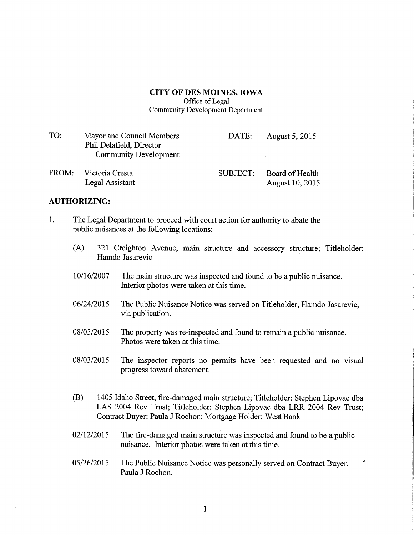## CITY OF DES MOINES, IOWA

Office of Legal Community Development Department

| TO:   | Mayor and Council Members<br>Phil Delafield, Director<br><b>Community Development</b> | DATE:    | August 5, 2015         |
|-------|---------------------------------------------------------------------------------------|----------|------------------------|
| FROM· | - Victoria Cresta                                                                     | SURIECT. | <b>Board of Health</b> |

FROM: Victoria Cresta SUBJECT: Board of Health Victoria Cresta<br>Legal Assistant August 10, 2015

## **AUTHORIZING:**

- 1. The Legal Department to proceed with court action for authority to abate the public nuisances at the following locations:
	- (A) 321 Creighton Avenue, main structure and accessory structure; Titleholder: Hamdo Jasarevic
	- 10/16/2007 The main structure was inspected and found to be a public nuisance. Interior photos were taken at this time.
	- 06/24/2015 The Public Nuisance Notice was served on Titleholder, Hamdo Jasarevic, via publication.
	- 08/03/2015 The property was re-inspected and found to remain a public nuisance. Photos were taken at this time.
	- 08/03/2015 The inspector reports no permits have been requested and no visual progress toward abatement.
	- (B) 1405 Idaho Street, fire-damaged main structure; Titleholder: Stephen Lipovac dba LAS 2004 Rev Tmst; Titleholder: Stephen Lipovac dba LRR 2004 Rev Trust; Contract Buyer: Paula J Rochon; Mortgage Holder: West Bank
	- 02/12/2015 The fire-damaged main structure was inspected and found to be a public nuisance. Interior photos were taken at this time.
	- 05/26/2015 The Public Nuisance Notice was personally served on Contract Buyer, Paula J Rochon.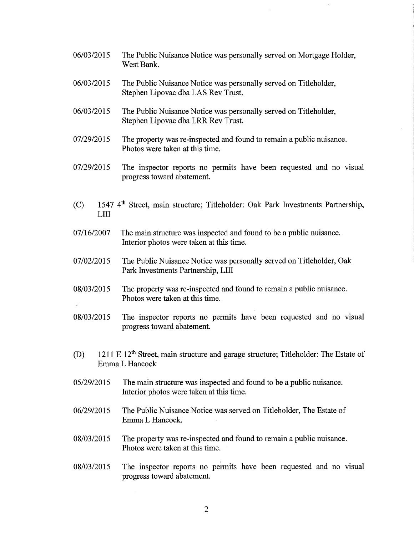- 06/03/2015 The Public Nuisance Notice was personally served on Mortgage Holder, West Bank.
- 06/03/2015 The Public Nuisance Notice was personally served on Titleholder, Stephen Lipovac dba LAS Rev Trust.
- 06/03/2015 The Public Nuisance Notice was personally served on Titleholder, Stephen Lipovac dba LRR Rev Trust.
- 07/29/2015 The property was re-inspected and found to remain a public nuisance. Photos were taken at this time.
- 07/29/2015 The inspector reports no permits have been requested and no visual progress toward abatement.
- (C) 1547 4th Street, main structure; Titleholder: Oak Park Investments Partnership, LIII
- 07/16/2007 The main structure was inspected and found to be a public nuisance. Interior photos were taken at this time.
- 07/02/2015 The Public Nuisance Notice was personally served on Titleholder, Oak Park Investments Partnership, LIII
- 08/03/2015 The property was re-inspected and found to remain a public nuisance. Photos were taken at this time.  $\mathbf{r}$
- 08/03/2015 The inspector reports no permits have been requested and no visual progress toward abatement.
- (D) 1211 E  $12^{th}$  Street, main structure and garage structure; Titleholder: The Estate of Emma L Hancock
- 05/29/2015 The main structure was inspected and found to be a public nuisance. Interior photos were taken at this time.
- 06/29/2015 The Public Nuisance Notice was served on Titleholder, The Estate of Emma L Hancock.
- 08/03/2015 The property was re-inspected and found to remain a public nuisance. Photos were taken at this time.
- 08/03/2015 The inspector reports no permits have been requested and no visual progress toward abatement.